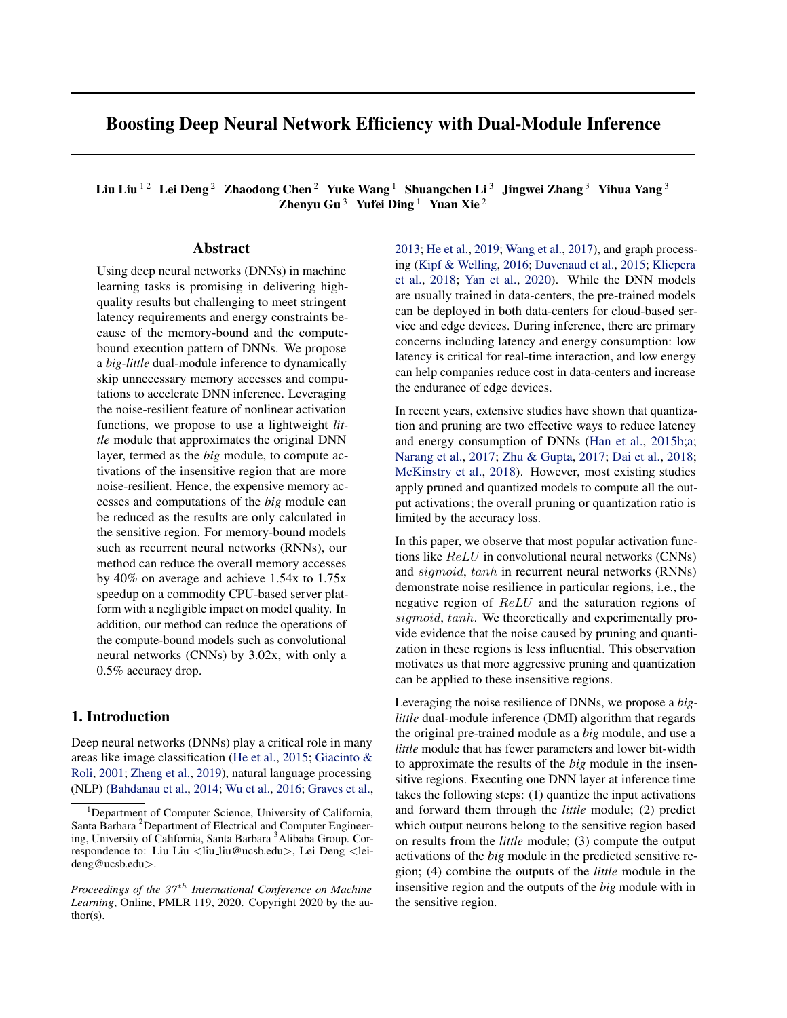# Boosting Deep Neural Network Efficiency with Dual-Module Inference

Liu Liu <sup>12</sup> Lei Deng<sup>2</sup> Zhaodong Chen<sup>2</sup> Yuke Wang<sup>1</sup> Shuangchen Li<sup>3</sup> Jingwei Zhang<sup>3</sup> Yihua Yang<sup>3</sup> Zhenyu Gu<sup>3</sup> Yufei Ding<sup>1</sup> Yuan Xie<sup>2</sup>

# Abstract

Using deep neural networks (DNNs) in machine learning tasks is promising in delivering highquality results but challenging to meet stringent latency requirements and energy constraints because of the memory-bound and the computebound execution pattern of DNNs. We propose a *big-little* dual-module inference to dynamically skip unnecessary memory accesses and computations to accelerate DNN inference. Leveraging the noise-resilient feature of nonlinear activation functions, we propose to use a lightweight *little* module that approximates the original DNN layer, termed as the *big* module, to compute activations of the insensitive region that are more noise-resilient. Hence, the expensive memory accesses and computations of the *big* module can be reduced as the results are only calculated in the sensitive region. For memory-bound models such as recurrent neural networks (RNNs), our method can reduce the overall memory accesses by 40% on average and achieve 1.54x to 1.75x speedup on a commodity CPU-based server platform with a negligible impact on model quality. In addition, our method can reduce the operations of the compute-bound models such as convolutional neural networks (CNNs) by 3.02x, with only a 0.5% accuracy drop.

## 1. Introduction

Deep neural networks (DNNs) play a critical role in many areas like image classification [\(He et al.,](#page-9-0) [2015;](#page-9-0) [Giacinto &](#page-9-0) [Roli,](#page-9-0) [2001;](#page-9-0) [Zheng et al.,](#page-10-0) [2019\)](#page-10-0), natural language processing (NLP) [\(Bahdanau et al.,](#page-8-0) [2014;](#page-8-0) [Wu et al.,](#page-10-0) [2016;](#page-10-0) [Graves et al.,](#page-9-0) [2013;](#page-9-0) [He et al.,](#page-9-0) [2019;](#page-9-0) [Wang et al.,](#page-9-0) [2017\)](#page-9-0), and graph processing [\(Kipf & Welling,](#page-9-0) [2016;](#page-9-0) [Duvenaud et al.,](#page-8-0) [2015;](#page-8-0) [Klicpera](#page-9-0) [et al.,](#page-9-0) [2018;](#page-9-0) [Yan et al.,](#page-10-0) [2020\)](#page-10-0). While the DNN models are usually trained in data-centers, the pre-trained models can be deployed in both data-centers for cloud-based service and edge devices. During inference, there are primary concerns including latency and energy consumption: low latency is critical for real-time interaction, and low energy can help companies reduce cost in data-centers and increase the endurance of edge devices.

In recent years, extensive studies have shown that quantization and pruning are two effective ways to reduce latency and energy consumption of DNNs [\(Han et al.,](#page-9-0) [2015b;a;](#page-9-0) [Narang et al.,](#page-9-0) [2017;](#page-9-0) [Zhu & Gupta,](#page-10-0) [2017;](#page-10-0) [Dai et al.,](#page-8-0) [2018;](#page-8-0) [McKinstry et al.,](#page-9-0) [2018\)](#page-9-0). However, most existing studies apply pruned and quantized models to compute all the output activations; the overall pruning or quantization ratio is limited by the accuracy loss.

In this paper, we observe that most popular activation functions like ReLU in convolutional neural networks (CNNs) and sigmoid, tanh in recurrent neural networks (RNNs) demonstrate noise resilience in particular regions, i.e., the negative region of ReLU and the saturation regions of sigmoid, tanh. We theoretically and experimentally provide evidence that the noise caused by pruning and quantization in these regions is less influential. This observation motivates us that more aggressive pruning and quantization can be applied to these insensitive regions.

Leveraging the noise resilience of DNNs, we propose a *biglittle* dual-module inference (DMI) algorithm that regards the original pre-trained module as a *big* module, and use a *little* module that has fewer parameters and lower bit-width to approximate the results of the *big* module in the insensitive regions. Executing one DNN layer at inference time takes the following steps: (1) quantize the input activations and forward them through the *little* module; (2) predict which output neurons belong to the sensitive region based on results from the *little* module; (3) compute the output activations of the *big* module in the predicted sensitive region; (4) combine the outputs of the *little* module in the insensitive region and the outputs of the *big* module with in the sensitive region.

<sup>&</sup>lt;sup>1</sup>Department of Computer Science, University of California, Santa Barbara<sup>2</sup>Department of Electrical and Computer Engineering, University of California, Santa Barbara<sup>3</sup> Alibaba Group. Correspondence to: Liu Liu <liu liu@ucsb.edu>, Lei Deng <leideng@ucsb.edu>.

*Proceedings of the 37<sup>th</sup> International Conference on Machine Learning*, Online, PMLR 119, 2020. Copyright 2020 by the author(s).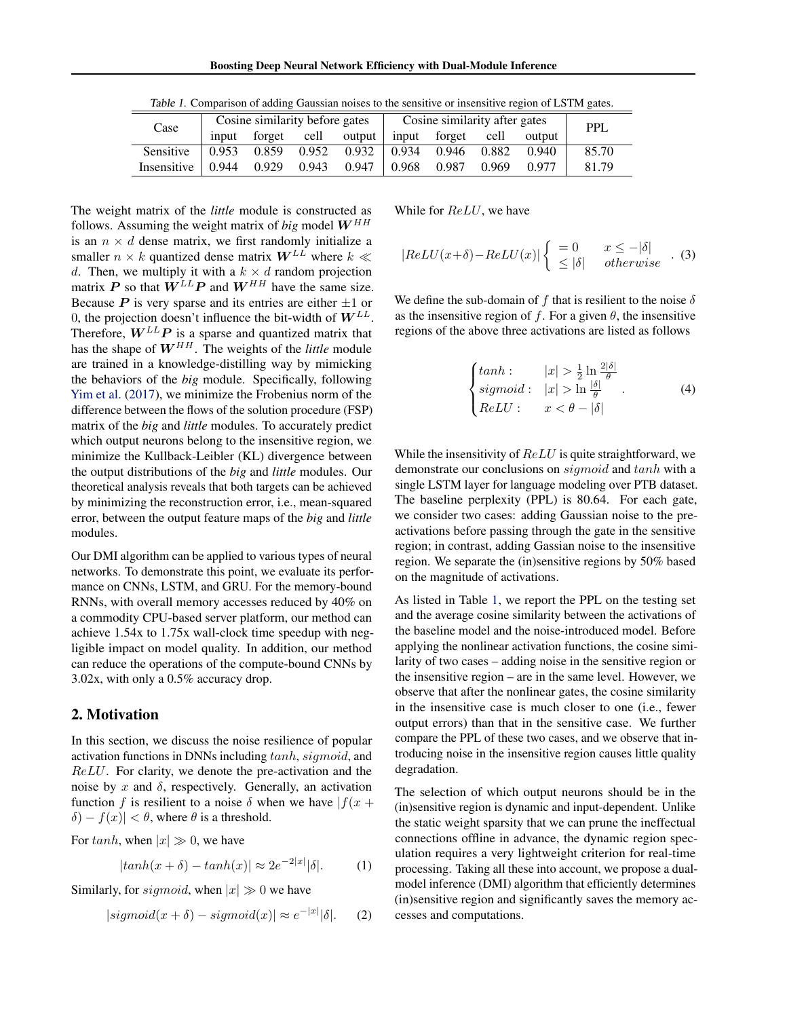<span id="page-1-0"></span>

| Case        |                                               | Cosine similarity before gates |       |                 | Cosine similarity after gates | PPL                                                     |       |        |       |  |
|-------------|-----------------------------------------------|--------------------------------|-------|-----------------|-------------------------------|---------------------------------------------------------|-------|--------|-------|--|
|             | input                                         | forget cell output             |       |                 |                               | input forget cell                                       |       | output |       |  |
| Sensitive   | $\begin{array}{ c} 0.953 \ 0.859 \end{array}$ |                                |       | $0.952$ $0.932$ |                               | $\begin{array}{cccc} 0.934 & 0.946 & 0.882 \end{array}$ |       | 0.940  | 85.70 |  |
| Insensitive | $\mid 0.944 \mid$                             | 0.929                          | 0.943 | 0.947           | 0.968                         | 0.987                                                   | 0.969 | 0.977  | 81.79 |  |

Table 1. Comparison of adding Gaussian noises to the sensitive or insensitive region of LSTM gates.

The weight matrix of the *little* module is constructed as follows. Assuming the weight matrix of *big* model  $W^{HH}$ is an  $n \times d$  dense matrix, we first randomly initialize a smaller  $n \times k$  quantized dense matrix  $W^{LL}$  where  $k \ll k$ d. Then, we multiply it with a  $k \times d$  random projection matrix P so that  $\ddot{W}^{LL}P$  and  $W^{HH}$  have the same size. Because  $P$  is very sparse and its entries are either  $\pm 1$  or 0, the projection doesn't influence the bit-width of  $W^{LL}$ . Therefore,  $W^{LL}P$  is a sparse and quantized matrix that has the shape of  $W^{HH}$ . The weights of the *little* module are trained in a knowledge-distilling way by mimicking the behaviors of the *big* module. Specifically, following [Yim et al.](#page-10-0) [\(2017\)](#page-10-0), we minimize the Frobenius norm of the difference between the flows of the solution procedure (FSP) matrix of the *big* and *little* modules. To accurately predict which output neurons belong to the insensitive region, we minimize the Kullback-Leibler (KL) divergence between the output distributions of the *big* and *little* modules. Our theoretical analysis reveals that both targets can be achieved by minimizing the reconstruction error, i.e., mean-squared error, between the output feature maps of the *big* and *little* modules.

Our DMI algorithm can be applied to various types of neural networks. To demonstrate this point, we evaluate its performance on CNNs, LSTM, and GRU. For the memory-bound RNNs, with overall memory accesses reduced by 40% on a commodity CPU-based server platform, our method can achieve 1.54x to 1.75x wall-clock time speedup with negligible impact on model quality. In addition, our method can reduce the operations of the compute-bound CNNs by 3.02x, with only a 0.5% accuracy drop.

## 2. Motivation

In this section, we discuss the noise resilience of popular activation functions in DNNs including tanh, sigmoid, and ReLU. For clarity, we denote the pre-activation and the noise by x and  $\delta$ , respectively. Generally, an activation function f is resilient to a noise  $\delta$  when we have  $|f(x +$  $\delta$ ) –  $f(x)$  <  $\theta$ , where  $\theta$  is a threshold.

For tanh, when  $|x| \gg 0$ , we have

$$
|tanh(x+\delta) - tanh(x)| \approx 2e^{-2|x|}|\delta|. \tag{1}
$$

Similarly, for *sigmoid*, when  $|x| \gg 0$  we have

$$
|sigmoid(x+\delta) - sigmoid(x)| \approx e^{-|x|}|\delta|. \quad (2)
$$

While for  $ReLU$ , we have

$$
|ReLU(x+\delta) - ReLU(x)| \begin{cases} = 0 & x \leq -|\delta| \\ \leq |\delta| & otherwise \end{cases} . (3)
$$

We define the sub-domain of f that is resilient to the noise  $\delta$ as the insensitive region of f. For a given  $\theta$ , the insensitive regions of the above three activations are listed as follows

$$
\begin{cases}\n\tanh : & |x| > \frac{1}{2} \ln \frac{2|\delta|}{\theta} \\
\text{sigmoid}: & |x| > \ln \frac{|\delta|}{\theta} \\
\text{ReLU}: & x < \theta - |\delta|\n\end{cases}.
$$
\n(4)

While the insensitivity of  $ReLU$  is quite straightforward, we demonstrate our conclusions on sigmoid and tanh with a single LSTM layer for language modeling over PTB dataset. The baseline perplexity (PPL) is 80.64. For each gate, we consider two cases: adding Gaussian noise to the preactivations before passing through the gate in the sensitive region; in contrast, adding Gassian noise to the insensitive region. We separate the (in)sensitive regions by 50% based on the magnitude of activations.

As listed in Table 1, we report the PPL on the testing set and the average cosine similarity between the activations of the baseline model and the noise-introduced model. Before applying the nonlinear activation functions, the cosine similarity of two cases – adding noise in the sensitive region or the insensitive region – are in the same level. However, we observe that after the nonlinear gates, the cosine similarity in the insensitive case is much closer to one (i.e., fewer output errors) than that in the sensitive case. We further compare the PPL of these two cases, and we observe that introducing noise in the insensitive region causes little quality degradation.

The selection of which output neurons should be in the (in)sensitive region is dynamic and input-dependent. Unlike the static weight sparsity that we can prune the ineffectual connections offline in advance, the dynamic region speculation requires a very lightweight criterion for real-time processing. Taking all these into account, we propose a dualmodel inference (DMI) algorithm that efficiently determines (in)sensitive region and significantly saves the memory accesses and computations.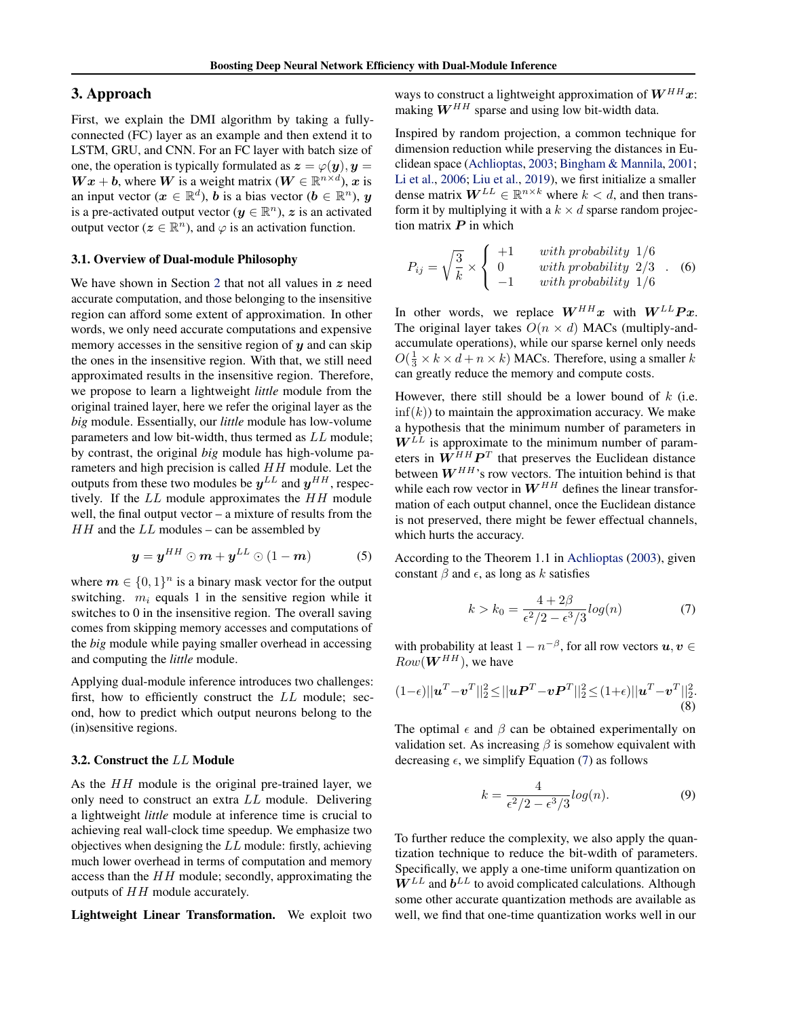# <span id="page-2-0"></span>3. Approach

First, we explain the DMI algorithm by taking a fullyconnected (FC) layer as an example and then extend it to LSTM, GRU, and CNN. For an FC layer with batch size of one, the operation is typically formulated as  $z = \varphi(\boldsymbol{\eta}), \boldsymbol{\eta} = \eta$  $\boldsymbol{W}\boldsymbol{x} + \boldsymbol{b}$ , where  $\boldsymbol{W}$  is a weight matrix ( $\boldsymbol{W} \in \mathbb{R}^{n \times d}$ ),  $\boldsymbol{x}$  is an input vector ( $x \in \mathbb{R}^d$ ),  $\boldsymbol{b}$  is a bias vector ( $\boldsymbol{b} \in \mathbb{R}^n$ ),  $\boldsymbol{y}$ is a pre-activated output vector ( $y \in \mathbb{R}^n$ ),  $z$  is an activated output vector ( $z \in \mathbb{R}^n$ ), and  $\varphi$  is an activation function.

### 3.1. Overview of Dual-module Philosophy

We have shown in Section [2](#page-1-0) that not all values in  $z$  need accurate computation, and those belonging to the insensitive region can afford some extent of approximation. In other words, we only need accurate computations and expensive memory accesses in the sensitive region of  $y$  and can skip the ones in the insensitive region. With that, we still need approximated results in the insensitive region. Therefore, we propose to learn a lightweight *little* module from the original trained layer, here we refer the original layer as the *big* module. Essentially, our *little* module has low-volume parameters and low bit-width, thus termed as LL module; by contrast, the original *big* module has high-volume parameters and high precision is called HH module. Let the outputs from these two modules be  $y^{LL}$  and  $y^{HH}$ , respectively. If the LL module approximates the HH module well, the final output vector – a mixture of results from the  $HH$  and the  $LL$  modules – can be assembled by

$$
y = y^{HH} \odot m + y^{LL} \odot (1 - m) \tag{5}
$$

where  $m \in \{0,1\}^n$  is a binary mask vector for the output switching.  $m_i$  equals 1 in the sensitive region while it switches to 0 in the insensitive region. The overall saving comes from skipping memory accesses and computations of the *big* module while paying smaller overhead in accessing and computing the *little* module.

Applying dual-module inference introduces two challenges: first, how to efficiently construct the LL module; second, how to predict which output neurons belong to the (in)sensitive regions.

#### 3.2. Construct the LL Module

As the HH module is the original pre-trained layer, we only need to construct an extra LL module. Delivering a lightweight *little* module at inference time is crucial to achieving real wall-clock time speedup. We emphasize two objectives when designing the LL module: firstly, achieving much lower overhead in terms of computation and memory access than the  $HH$  module; secondly, approximating the outputs of HH module accurately.

Lightweight Linear Transformation. We exploit two

ways to construct a lightweight approximation of  $W^{HH}x$ : making  $W^{HH}$  sparse and using low bit-width data.

Inspired by random projection, a common technique for dimension reduction while preserving the distances in Euclidean space [\(Achlioptas,](#page-8-0) [2003;](#page-8-0) [Bingham & Mannila,](#page-8-0) [2001;](#page-8-0) [Li et al.,](#page-9-0) [2006;](#page-9-0) [Liu et al.,](#page-9-0) [2019\)](#page-9-0), we first initialize a smaller dense matrix  $W^{LL} \in \mathbb{R}^{n \times k}$  where  $k < d$ , and then transform it by multiplying it with a  $k \times d$  sparse random projection matrix  $P$  in which

$$
P_{ij} = \sqrt{\frac{3}{k}} \times \begin{cases} +1 & with \text{ probability } 1/6 \\ 0 & with \text{ probability } 2/3 \\ -1 & with \text{ probability } 1/6 \end{cases}.
$$
 (6)

In other words, we replace  $W^{HH}x$  with  $W^{LL}Px$ . The original layer takes  $O(n \times d)$  MACs (multiply-andaccumulate operations), while our sparse kernel only needs  $O(\frac{1}{3} \times k \times d + n \times k)$  MACs. Therefore, using a smaller k can greatly reduce the memory and compute costs.

However, there still should be a lower bound of  $k$  (i.e.  $\inf(k)$ ) to maintain the approximation accuracy. We make a hypothesis that the minimum number of parameters in  $W^{LL}$  is approximate to the minimum number of parameters in  $W^{HH}P^{T}$  that preserves the Euclidean distance between  $W^{HH}$ 's row vectors. The intuition behind is that while each row vector in  $W^{HH}$  defines the linear transformation of each output channel, once the Euclidean distance is not preserved, there might be fewer effectual channels, which hurts the accuracy.

According to the Theorem 1.1 in [Achlioptas](#page-8-0) [\(2003\)](#page-8-0), given constant  $\beta$  and  $\epsilon$ , as long as k satisfies

$$
k > k_0 = \frac{4 + 2\beta}{\epsilon^2/2 - \epsilon^3/3} log(n)
$$
 (7)

with probability at least  $1 - n^{-\beta}$ , for all row vectors  $u, v \in$  $Row(\boldsymbol{W}^{HH})$ , we have

$$
(1-\epsilon)||\boldsymbol{u}^T - \boldsymbol{v}^T||_2^2 \le ||\boldsymbol{u}\boldsymbol{P}^T - \boldsymbol{v}\boldsymbol{P}^T||_2^2 \le (1+\epsilon)||\boldsymbol{u}^T - \boldsymbol{v}^T||_2^2.
$$
\n(8)

The optimal  $\epsilon$  and  $\beta$  can be obtained experimentally on validation set. As increasing  $\beta$  is somehow equivalent with decreasing  $\epsilon$ , we simplify Equation (7) as follows

$$
k = \frac{4}{\epsilon^2/2 - \epsilon^3/3} log(n). \tag{9}
$$

To further reduce the complexity, we also apply the quantization technique to reduce the bit-wdith of parameters. Specifically, we apply a one-time uniform quantization on  $W^{LL}$  and  $b^{LL}$  to avoid complicated calculations. Although some other accurate quantization methods are available as well, we find that one-time quantization works well in our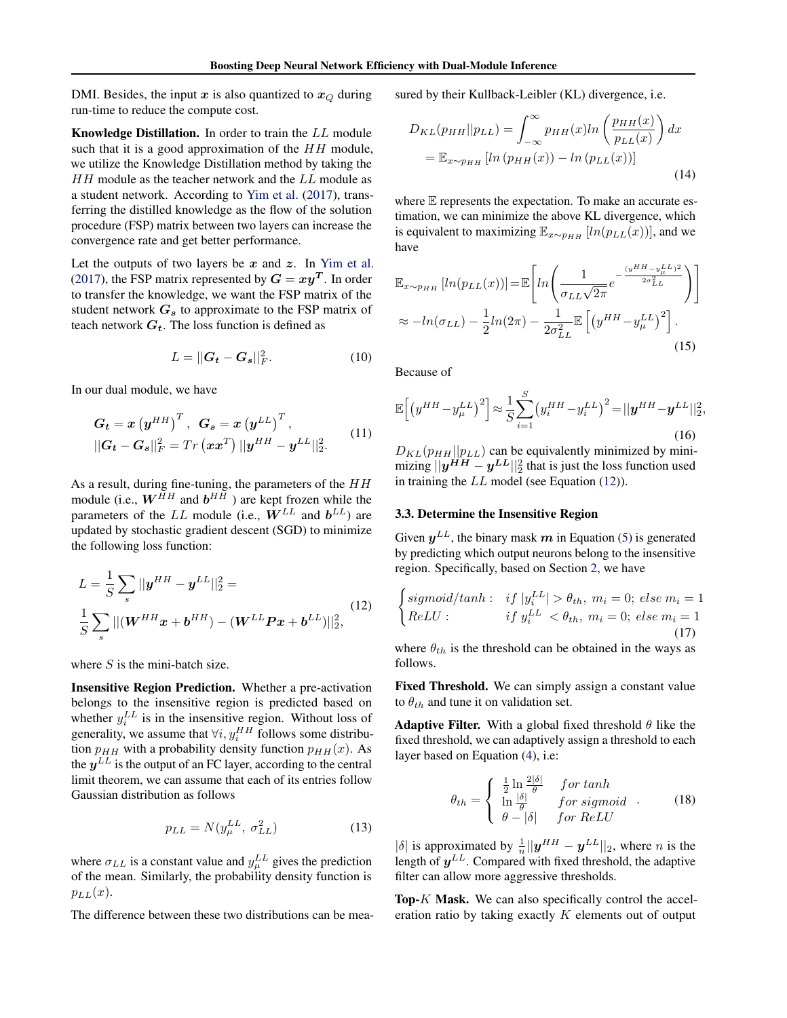<span id="page-3-0"></span>DMI. Besides, the input x is also quantized to  $x_Q$  during run-time to reduce the compute cost.

Knowledge Distillation. In order to train the LL module such that it is a good approximation of the  $HH$  module, we utilize the Knowledge Distillation method by taking the  $HH$  module as the teacher network and the  $LL$  module as a student network. According to [Yim et al.](#page-10-0) [\(2017\)](#page-10-0), transferring the distilled knowledge as the flow of the solution procedure (FSP) matrix between two layers can increase the convergence rate and get better performance.

Let the outputs of two layers be  $x$  and  $z$ . In [Yim et al.](#page-10-0) [\(2017\)](#page-10-0), the FSP matrix represented by  $G = xy^T$ . In order to transfer the knowledge, we want the FSP matrix of the student network  $G_s$  to approximate to the FSP matrix of teach network  $G_t$ . The loss function is defined as

$$
L = ||G_t - G_s||_F^2. \tag{10}
$$

In our dual module, we have

$$
G_t = x \left( y^{HH} \right)^T, \quad G_s = x \left( y^{LL} \right)^T,
$$
  

$$
||G_t - G_s||_F^2 = Tr \left( xx^T \right) ||y^{HH} - y^{LL}||_2^2.
$$
 (11)

As a result, during fine-tuning, the parameters of the  $HH$ module (i.e.,  $W^{HH}$  and  $b^{HH}$  ) are kept frozen while the parameters of the LL module (i.e.,  $W^{LL}$  and  $b^{LL}$ ) are updated by stochastic gradient descent (SGD) to minimize the following loss function:

$$
L = \frac{1}{S} \sum_{s} ||y^{HH} - y^{LL}||_2^2 =
$$
  

$$
\frac{1}{S} \sum_{s} ||(W^{HH}x + b^{HH}) - (W^{LL}Px + b^{LL})||_2^2,
$$
 (12)

where  $S$  is the mini-batch size.

Insensitive Region Prediction. Whether a pre-activation belongs to the insensitive region is predicted based on whether  $y_i^{LL}$  is in the insensitive region. Without loss of generality, we assume that  $\forall i, y_i^{HH}$  follows some distribution  $p_{HH}$  with a probability density function  $p_{HH}(x)$ . As the  $y^{LL}$  is the output of an FC layer, according to the central limit theorem, we can assume that each of its entries follow Gaussian distribution as follows

$$
p_{LL} = N(y_{\mu}^{LL}, \sigma_{LL}^2)
$$
 (13)

where  $\sigma_{LL}$  is a constant value and  $y_{\mu}^{LL}$  gives the prediction of the mean. Similarly, the probability density function is  $p_{LL}(x)$ .

The difference between these two distributions can be mea-

sured by their Kullback-Leibler (KL) divergence, i.e.

$$
D_{KL}(p_{HH}||p_{LL}) = \int_{-\infty}^{\infty} p_{HH}(x)ln\left(\frac{p_{HH}(x)}{p_{LL}(x)}\right) dx
$$

$$
= \mathbb{E}_{x \sim p_{HH}}\left[ln\left(p_{HH}(x)\right) - ln\left(p_{LL}(x)\right)\right]
$$
(14)

where  $E$  represents the expectation. To make an accurate estimation, we can minimize the above KL divergence, which is equivalent to maximizing  $\mathbb{E}_{x \sim p_{HH}}$  [ln(p<sub>LL</sub>(x))], and we have

$$
\mathbb{E}_{x \sim pHH} \left[ ln(p_{LL}(x)) \right] = \mathbb{E} \left[ ln \left( \frac{1}{\sigma_{LL} \sqrt{2\pi}} e^{-\frac{(y^{HH} - y^{LL}_{\mu})^2}{2\sigma_{LL}^2}} \right) \right]
$$
  
\n
$$
\approx -ln(\sigma_{LL}) - \frac{1}{2} ln(2\pi) - \frac{1}{2\sigma_{LL}^2} \mathbb{E} \left[ \left( y^{HH} - y^{LL}_{\mu} \right)^2 \right].
$$
\n(15)

Because of

$$
\mathbb{E}\Big[\big(y^{HH} - y^{LL}_{\mu}\big)^2\Big] \approx \frac{1}{S} \sum_{i=1}^{S} \big(y_i^{HH} - y_i^{LL}\big)^2 = ||\mathbf{y}^{HH} - \mathbf{y}^{LL}||_2^2,
$$
\n(16)

 $D_{KL}(p_{HH}||p_{LL})$  can be equivalently minimized by minimizing  $||y^{HH}-y^{LL}||_2^2$  that is just the loss function used in training the LL model (see Equation (12)).

## 3.3. Determine the Insensitive Region

Given  $y^{LL}$ , the binary mask m in Equation [\(5\)](#page-2-0) is generated by predicting which output neurons belong to the insensitive region. Specifically, based on Section [2,](#page-1-0) we have

$$
\begin{cases}\n\text{sigmoid/tanh}: & \text{if } |y_i^L| > \theta_{th}, m_i = 0; \text{ else } m_i = 1 \\
\text{ReLU}: & \text{if } y_i^L < \theta_{th}, m_i = 0; \text{ else } m_i = 1 \\
\end{cases}\n\tag{17}
$$

where  $\theta_{th}$  is the threshold can be obtained in the ways as follows.

Fixed Threshold. We can simply assign a constant value to  $\theta_{th}$  and tune it on validation set.

**Adaptive Filter.** With a global fixed threshold  $\theta$  like the fixed threshold, we can adaptively assign a threshold to each layer based on Equation [\(4\)](#page-1-0), i.e:

$$
\theta_{th} = \begin{cases} \frac{1}{2} \ln \frac{2|\delta|}{\theta} & \text{for } \tanh\\ \ln \frac{|\delta|}{\theta} & \text{for } \text{sigmoid}\\ \theta - |\delta| & \text{for } \text{ReLU} \end{cases} . \tag{18}
$$

 $|\delta|$  is approximated by  $\frac{1}{n}||y^{HH} - y^{LL}||_2$ , where *n* is the length of  $y^{LL}$ . Compared with fixed threshold, the adaptive filter can allow more aggressive thresholds.

Top-K Mask. We can also specifically control the acceleration ratio by taking exactly  $K$  elements out of output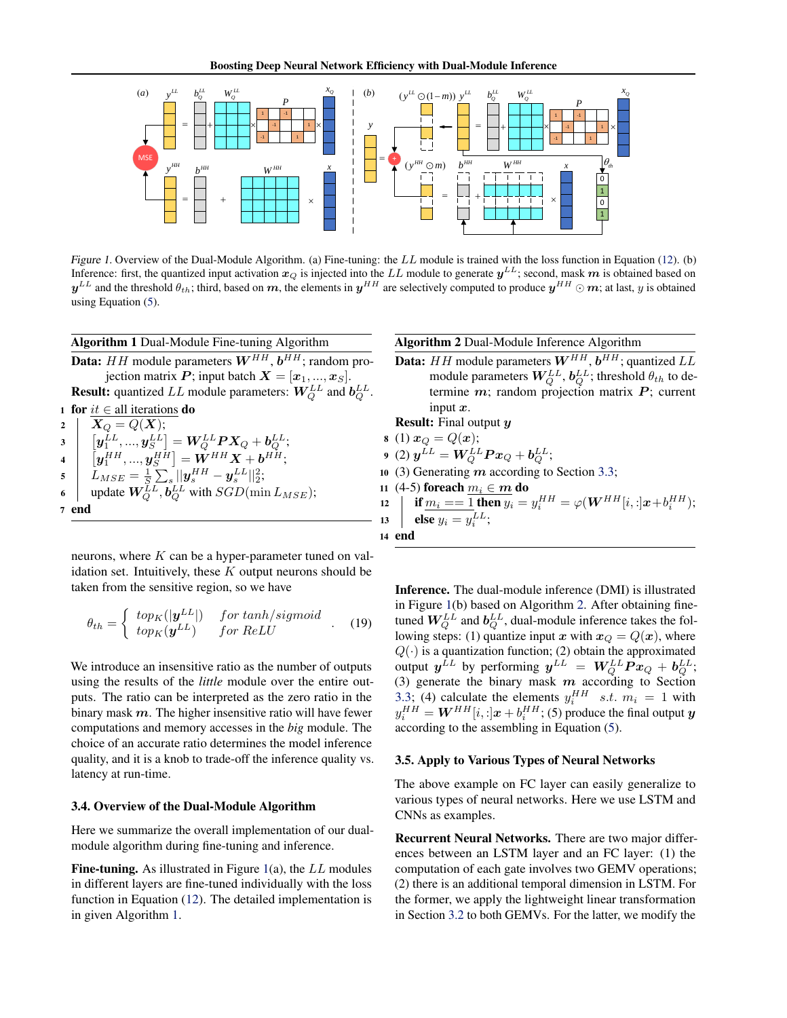<span id="page-4-0"></span>

Figure 1. Overview of the Dual-Module Algorithm. (a) Fine-tuning: the LL module is trained with the loss function in Equation [\(12\)](#page-3-0). (b) Inference: first, the quantized input activation  $x_Q$  is injected into the  $LL$  module to generate  $y^{LL}$ ; second, mask  $m$  is obtained based on  $y^{LL}$  and the threshold  $\theta_{th}$ ; third, based on  $m$ , the elements in  $y^{HH}$  are selectively computed to produce  $y^{HH}\odot m$ ; at last,  $y$  is obtained using Equation [\(5\)](#page-2-0).

|                | <b>Algorithm 1 Dual-Module Fine-tuning Algorithm</b>                                                                                                                                                                       |
|----------------|----------------------------------------------------------------------------------------------------------------------------------------------------------------------------------------------------------------------------|
|                | <b>Data:</b> HH module parameters $W^{HH}$ , $b^{HH}$ ; random pro-                                                                                                                                                        |
|                | jection matrix P; input batch $X = [x_1, , x_S]$ .                                                                                                                                                                         |
|                | <b>Result:</b> quantized LL module parameters: $W_Q^{LL}$ and $b_Q^{LL}$ .                                                                                                                                                 |
|                | <b>1 for</b> $it \in$ all iterations <b>do</b>                                                                                                                                                                             |
| $\overline{2}$ | $X_O = Q(X);$                                                                                                                                                                                                              |
|                | $\begin{aligned} \mathbf{y} \end{aligned} \quad \left[ \begin{array}{c} \mathbf{y}_1^{LL},,\mathbf{y}_S^{LL} \end{array} \right] = \mathbf{W}_{O}^{LL} \mathbf{P} \mathbf{X}_{Q} + \boldsymbol{b}_{O}^{LL}; \end{aligned}$ |
|                | 4 $[y_1^{HH},,y_S^{HH}] = \dot{W}^{HH}X + b^{HH};$                                                                                                                                                                         |
| 5 <sup>5</sup> | $L_{MSE} = \frac{1}{S} \sum_{s}   y_s^{HH} - y_s^{LL}  _2^2;$                                                                                                                                                              |
| 6              | update $W_Q^{LL}$ , $b_Q^{LL}$ with $SGD(\min L_{MSE})$ ;                                                                                                                                                                  |
|                | end                                                                                                                                                                                                                        |
|                |                                                                                                                                                                                                                            |

neurons, where  $K$  can be a hyper-parameter tuned on validation set. Intuitively, these  $K$  output neurons should be taken from the sensitive region, so we have

$$
\theta_{th} = \begin{cases} \ntop_K(|\mathbf{y}^{LL}|) & \text{for } \tanh/sigmoid \\ \ntop_K(\mathbf{y}^{LL}) & \text{for } \text{ReLU} \end{cases} . \tag{19}
$$

We introduce an insensitive ratio as the number of outputs using the results of the *little* module over the entire outputs. The ratio can be interpreted as the zero ratio in the binary mask  $m$ . The higher insensitive ratio will have fewer computations and memory accesses in the *big* module. The choice of an accurate ratio determines the model inference quality, and it is a knob to trade-off the inference quality vs. latency at run-time.

#### 3.4. Overview of the Dual-Module Algorithm

Here we summarize the overall implementation of our dualmodule algorithm during fine-tuning and inference.

Fine-tuning. As illustrated in Figure 1(a), the  $LL$  modules in different layers are fine-tuned individually with the loss function in Equation [\(12\)](#page-3-0). The detailed implementation is in given Algorithm 1.

Algorithm 2 Dual-Module Inference Algorithm

**Data:** HH module parameters  $W^{HH}$ ,  $b^{HH}$ ; quantized  $LL$ module parameters  $\boldsymbol{W}_{\!Q}^{LL}$  ,  $\boldsymbol{b}_{\!Q}^{LL}$  ; threshold  $\theta_{th}$  to determine  $m$ ; random projection matrix  $P$ ; current input  $x$ .

Result: Final output y  $(1)$   $x_{\Omega} = O(n)$ ;

$$
B(1) \mathcal{L}Q = Q(\mathcal{L}),
$$
  

$$
B(2) \mathcal{L}L = W/LL \mathcal{L}R
$$

- $(2) y^2$  $^{LL}=\boldsymbol{W}_{Q}^{LL}\boldsymbol{P}\boldsymbol{x}_{Q}+\boldsymbol{b}_{Q}^{LL};$
- 10 (3) Generating  $m$  according to Section [3.3;](#page-3-0)

11 (4-5) **foreach** 
$$
\underline{m_i} \in \underline{m}
$$
 **do** \n12  $\left| \begin{array}{l}\text{if } \underline{m_i} == 1 \text{ then } y_i = y_i^{HH} = \varphi(W^{HH}[i, :]x + b_i^{HH});\\ \text{else } y_i = y_i^{LL}; \end{array} \right.$ 

Inference. The dual-module inference (DMI) is illustrated in Figure 1(b) based on Algorithm 2. After obtaining finetuned  $W_{Q}^{LL}$  and  $b_{Q}^{LL}$ , dual-module inference takes the following steps: (1) quantize input x with  $x_Q = Q(x)$ , where  $Q(\cdot)$  is a quantization function; (2) obtain the approximated output  $\pmb{y}^{LL}$  by performing  $\pmb{y}^{LL}~=~\pmb{W}_{Q}^{LL}\pmb{P}\pmb{x}_{Q}+\pmb{b}_{Q}^{LL};$ (3) generate the binary mask  $m$  according to Section [3.3;](#page-3-0) (4) calculate the elements  $y_i^{HH}$  s.t.  $m_i = 1$  with  $y_i^{HH} = \boldsymbol{W}^{HH}[i,:] \boldsymbol{x} + b_i^{HH};$  (5) produce the final output  $\boldsymbol{y}$ according to the assembling in Equation [\(5\)](#page-2-0).

#### 3.5. Apply to Various Types of Neural Networks

The above example on FC layer can easily generalize to various types of neural networks. Here we use LSTM and CNNs as examples.

Recurrent Neural Networks. There are two major differences between an LSTM layer and an FC layer: (1) the computation of each gate involves two GEMV operations; (2) there is an additional temporal dimension in LSTM. For the former, we apply the lightweight linear transformation in Section [3.2](#page-2-0) to both GEMVs. For the latter, we modify the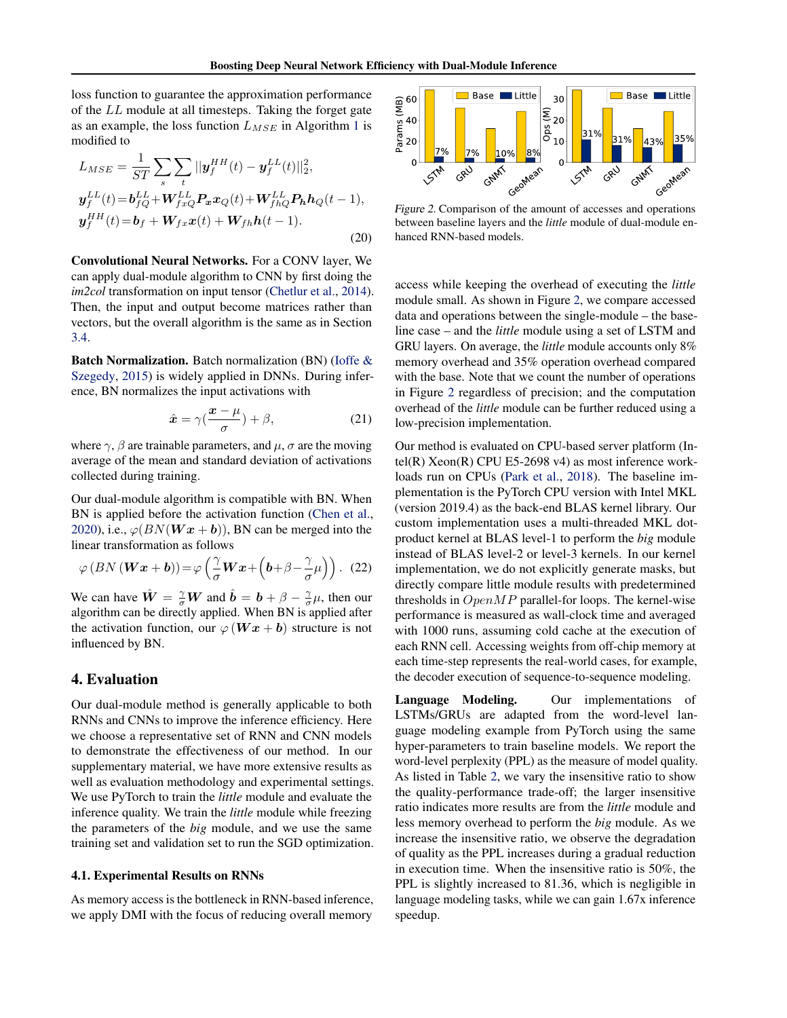<span id="page-5-0"></span>loss function to guarantee the approximation performance of the LL module at all timesteps. Taking the forget gate as an example, the loss function  $L_{MSE}$  in Algorithm [1](#page-4-0) is modified to

$$
L_{MSE} = \frac{1}{ST} \sum_{s} \sum_{t} ||y_{f}^{HH}(t) - y_{f}^{LL}(t)||_{2}^{2},
$$
  

$$
y_{f}^{LL}(t) = b_{fQ}^{LL} + W_{fxQ}^{LL} P_{xx} x_{Q}(t) + W_{fhQ}^{LL} P_{hh} h_{Q}(t-1),
$$
  

$$
y_{f}^{HH}(t) = b_{f} + W_{fx} x(t) + W_{fh} h(t-1).
$$
 (20)

Convolutional Neural Networks. For a CONV layer, We can apply dual-module algorithm to CNN by first doing the *im2col* transformation on input tensor [\(Chetlur et al.,](#page-8-0) [2014\)](#page-8-0). Then, the input and output become matrices rather than vectors, but the overall algorithm is the same as in Section [3.4.](#page-4-0)

Batch Normalization. Batch normalization (BN) [\(Ioffe &](#page-9-0) [Szegedy,](#page-9-0) [2015\)](#page-9-0) is widely applied in DNNs. During inference, BN normalizes the input activations with

$$
\hat{x} = \gamma \left(\frac{x - \mu}{\sigma}\right) + \beta,\tag{21}
$$

where  $\gamma$ ,  $\beta$  are trainable parameters, and  $\mu$ ,  $\sigma$  are the moving average of the mean and standard deviation of activations collected during training.

Our dual-module algorithm is compatible with BN. When BN is applied before the activation function [\(Chen et al.,](#page-8-0) [2020\)](#page-8-0), i.e.,  $\varphi(BN(Wx + b))$ , BN can be merged into the linear transformation as follows

$$
\varphi(BN(\boldsymbol{W}\boldsymbol{x}+\boldsymbol{b})) = \varphi\left(\frac{\gamma}{\sigma}\boldsymbol{W}\boldsymbol{x} + \left(\boldsymbol{b} + \beta - \frac{\gamma}{\sigma}\mu\right)\right). (22)
$$

We can have  $\hat{W} = \frac{\gamma}{\sigma}W$  and  $\hat{b} = b + \beta - \frac{\gamma}{\sigma}\mu$ , then our algorithm can be directly applied. When BN is applied after the activation function, our  $\varphi$  (**W**  $x + b$ ) structure is not influenced by BN.

## 4. Evaluation

Our dual-module method is generally applicable to both RNNs and CNNs to improve the inference efficiency. Here we choose a representative set of RNN and CNN models to demonstrate the effectiveness of our method. In our supplementary material, we have more extensive results as well as evaluation methodology and experimental settings. We use PyTorch to train the *little* module and evaluate the inference quality. We train the *little* module while freezing the parameters of the *big* module, and we use the same training set and validation set to run the SGD optimization.

## 4.1. Experimental Results on RNNs

As memory access is the bottleneck in RNN-based inference, we apply DMI with the focus of reducing overall memory



Figure 2. Comparison of the amount of accesses and operations between baseline layers and the *little* module of dual-module enhanced RNN-based models.

access while keeping the overhead of executing the *little* module small. As shown in Figure 2, we compare accessed data and operations between the single-module – the baseline case – and the *little* module using a set of LSTM and GRU layers. On average, the *little* module accounts only 8% memory overhead and 35% operation overhead compared with the base. Note that we count the number of operations in Figure 2 regardless of precision; and the computation overhead of the *little* module can be further reduced using a low-precision implementation.

Our method is evaluated on CPU-based server platform (Intel(R)  $Xeon(R)$  CPU E5-2698 v4) as most inference workloads run on CPUs [\(Park et al.,](#page-9-0) [2018\)](#page-9-0). The baseline implementation is the PyTorch CPU version with Intel MKL (version 2019.4) as the back-end BLAS kernel library. Our custom implementation uses a multi-threaded MKL dotproduct kernel at BLAS level-1 to perform the *big* module instead of BLAS level-2 or level-3 kernels. In our kernel implementation, we do not explicitly generate masks, but directly compare little module results with predetermined thresholds in  $OpenMP$  parallel-for loops. The kernel-wise performance is measured as wall-clock time and averaged with 1000 runs, assuming cold cache at the execution of each RNN cell. Accessing weights from off-chip memory at each time-step represents the real-world cases, for example, the decoder execution of sequence-to-sequence modeling.

Language Modeling. Our implementations of LSTMs/GRUs are adapted from the word-level language modeling example from PyTorch using the same hyper-parameters to train baseline models. We report the word-level perplexity (PPL) as the measure of model quality. As listed in Table [2,](#page-6-0) we vary the insensitive ratio to show the quality-performance trade-off; the larger insensitive ratio indicates more results are from the *little* module and less memory overhead to perform the *big* module. As we increase the insensitive ratio, we observe the degradation of quality as the PPL increases during a gradual reduction in execution time. When the insensitive ratio is 50%, the PPL is slightly increased to 81.36, which is negligible in language modeling tasks, while we can gain 1.67x inference speedup.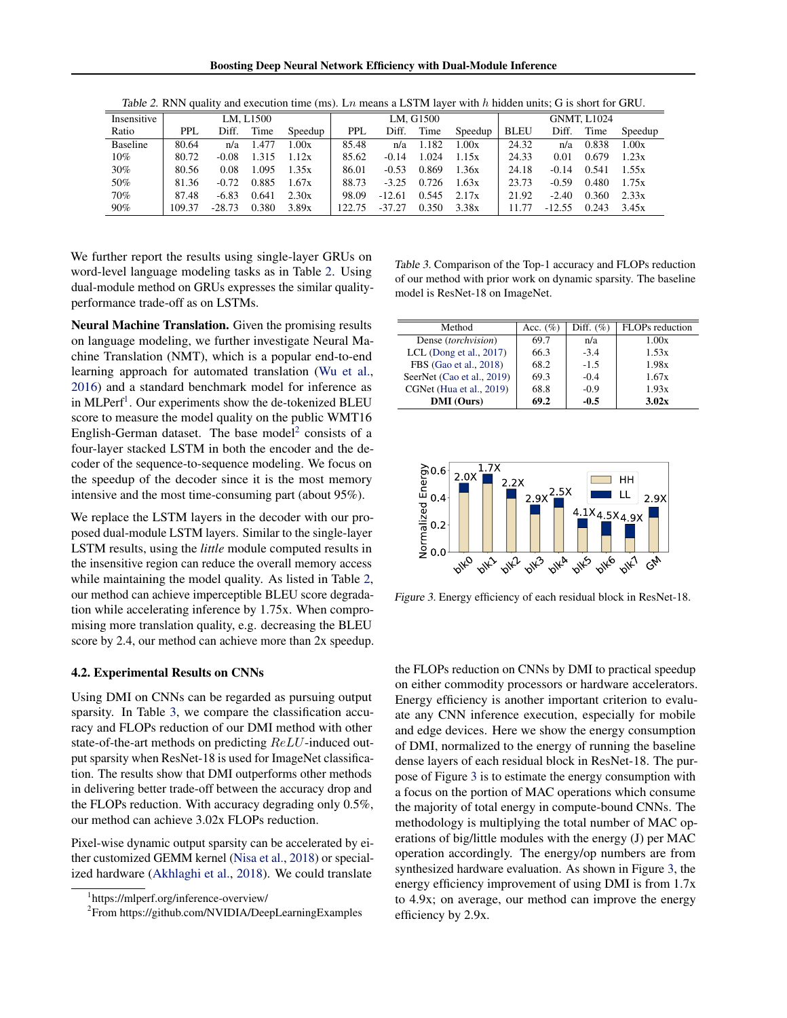Boosting Deep Neural Network Efficiency with Dual-Module Inference

<span id="page-6-0"></span>

| Insensitive     | LM. L1500  |          |       |         | LM. G1500  |          |       |         | <b>GNMT, L1024</b> |          |       |         |
|-----------------|------------|----------|-------|---------|------------|----------|-------|---------|--------------------|----------|-------|---------|
| Ratio           | <b>PPL</b> | Diff.    | Time  | Speedup | <b>PPL</b> | Diff.    | Time  | Speedup | <b>BLEU</b>        | Diff.    | Time  | Speedup |
| <b>Baseline</b> | 80.64      | n/a      | 1.477 | 1.00x   | 85.48      | n/a      | 1.182 | 1.00x   | 24.32              | n/a      | 0.838 | 1.00x   |
| $10\%$          | 80.72      | $-0.08$  | 1.315 | 1.12x   | 85.62      | $-0.14$  | 1.024 | 1.15x   | 24.33              | 0.01     | 0.679 | 1.23x   |
| 30%             | 80.56      | 0.08     | 1.095 | 1.35x   | 86.01      | $-0.53$  | 0.869 | 1.36x   | 24.18              | $-0.14$  | 0.541 | 1.55x   |
| 50%             | 81.36      | $-0.72$  | 0.885 | 1.67x   | 88.73      | $-3.25$  | 0.726 | 1.63x   | 23.73              | $-0.59$  | 0.480 | 1.75x   |
| 70%             | 87.48      | $-6.83$  | 0.641 | 2.30x   | 98.09      | $-12.61$ | 0.545 | 2.17x   | 21.92              | $-2.40$  | 0.360 | 2.33x   |
| 90%             | 109.37     | $-28.73$ | 0.380 | 3.89x   | 122.75     | $-37.27$ | 0.350 | 3.38x   | 11 77              | $-12.55$ | 0.243 | 3.45x   |

Table 2. RNN quality and execution time (ms). Ln means a LSTM layer with h hidden units; G is short for GRU.

We further report the results using single-layer GRUs on word-level language modeling tasks as in Table 2. Using dual-module method on GRUs expresses the similar qualityperformance trade-off as on LSTMs.

Neural Machine Translation. Given the promising results on language modeling, we further investigate Neural Machine Translation (NMT), which is a popular end-to-end learning approach for automated translation [\(Wu et al.,](#page-10-0) [2016\)](#page-10-0) and a standard benchmark model for inference as in MLPerf<sup>1</sup>. Our experiments show the de-tokenized BLEU score to measure the model quality on the public WMT16 English-German dataset. The base model<sup>2</sup> consists of a four-layer stacked LSTM in both the encoder and the decoder of the sequence-to-sequence modeling. We focus on the speedup of the decoder since it is the most memory intensive and the most time-consuming part (about 95%).

We replace the LSTM layers in the decoder with our proposed dual-module LSTM layers. Similar to the single-layer LSTM results, using the *little* module computed results in the insensitive region can reduce the overall memory access while maintaining the model quality. As listed in Table 2, our method can achieve imperceptible BLEU score degradation while accelerating inference by 1.75x. When compromising more translation quality, e.g. decreasing the BLEU score by 2.4, our method can achieve more than 2x speedup.

## 4.2. Experimental Results on CNNs

Using DMI on CNNs can be regarded as pursuing output sparsity. In Table 3, we compare the classification accuracy and FLOPs reduction of our DMI method with other state-of-the-art methods on predicting ReLU-induced output sparsity when ResNet-18 is used for ImageNet classification. The results show that DMI outperforms other methods in delivering better trade-off between the accuracy drop and the FLOPs reduction. With accuracy degrading only 0.5%, our method can achieve 3.02x FLOPs reduction.

Pixel-wise dynamic output sparsity can be accelerated by either customized GEMM kernel [\(Nisa et al.,](#page-9-0) [2018\)](#page-9-0) or specialized hardware [\(Akhlaghi et al.,](#page-8-0) [2018\)](#page-8-0). We could translate

Table 3. Comparison of the Top-1 accuracy and FLOPs reduction of our method with prior work on dynamic sparsity. The baseline model is ResNet-18 on ImageNet.

| Method                     | Acc. $(\% )$ | Diff. $(\%)$ | FLOPs reduction |
|----------------------------|--------------|--------------|-----------------|
| Dense (torchvision)        | 69.7         | n/a          | 1.00x           |
| LCL (Dong et al., 2017)    | 66.3         | $-3.4$       | 1.53x           |
| FBS (Gao et al., 2018)     | 68.2         | $-1.5$       | 1.98x           |
| SeerNet (Cao et al., 2019) | 69.3         | $-0.4$       | 1.67x           |
| CGNet (Hua et al., 2019)   | 68.8         | $-0.9$       | 1.93x           |
| <b>DMI</b> (Ours)          | 69.2         | $-0.5$       | 3.02x           |



Figure 3. Energy efficiency of each residual block in ResNet-18.

the FLOPs reduction on CNNs by DMI to practical speedup on either commodity processors or hardware accelerators. Energy efficiency is another important criterion to evaluate any CNN inference execution, especially for mobile and edge devices. Here we show the energy consumption of DMI, normalized to the energy of running the baseline dense layers of each residual block in ResNet-18. The purpose of Figure 3 is to estimate the energy consumption with a focus on the portion of MAC operations which consume the majority of total energy in compute-bound CNNs. The methodology is multiplying the total number of MAC operations of big/little modules with the energy (J) per MAC operation accordingly. The energy/op numbers are from synthesized hardware evaluation. As shown in Figure 3, the energy efficiency improvement of using DMI is from 1.7x to 4.9x; on average, our method can improve the energy efficiency by 2.9x.

<sup>1</sup> https://mlperf.org/inference-overview/

<sup>&</sup>lt;sup>2</sup>From https://github.com/NVIDIA/DeepLearningExamples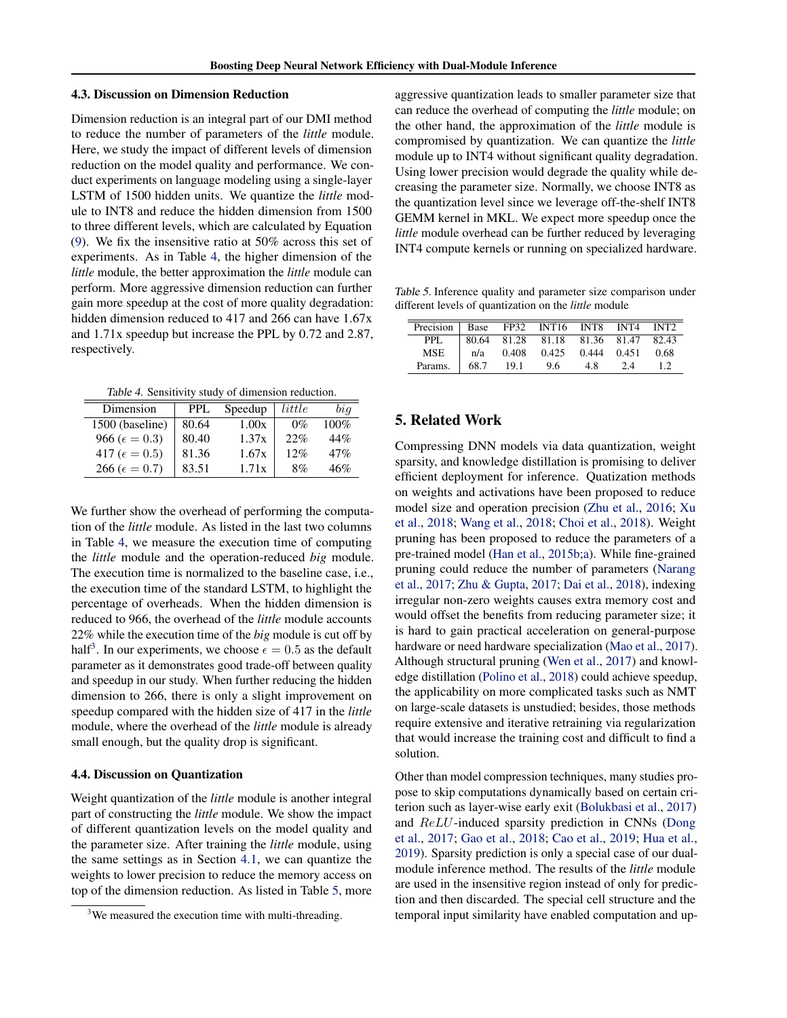### 4.3. Discussion on Dimension Reduction

Dimension reduction is an integral part of our DMI method to reduce the number of parameters of the *little* module. Here, we study the impact of different levels of dimension reduction on the model quality and performance. We conduct experiments on language modeling using a single-layer LSTM of 1500 hidden units. We quantize the *little* module to INT8 and reduce the hidden dimension from 1500 to three different levels, which are calculated by Equation [\(9\)](#page-2-0). We fix the insensitive ratio at 50% across this set of experiments. As in Table 4, the higher dimension of the *little* module, the better approximation the *little* module can perform. More aggressive dimension reduction can further gain more speedup at the cost of more quality degradation: hidden dimension reduced to 417 and 266 can have  $1.67x$ and 1.71x speedup but increase the PPL by 0.72 and 2.87, respectively.

Table 4. Sensitivity study of dimension reduction.

| Dimension                | <b>PPL</b> | Speedup | little | big     |
|--------------------------|------------|---------|--------|---------|
| 1500 (baseline)          | 80.64      | 1.00x   | $0\%$  | $100\%$ |
| 966 ( $\epsilon = 0.3$ ) | 80.40      | 1.37x   | 22%    | 44%     |
| 417 ( $\epsilon = 0.5$ ) | 81.36      | 1.67x   | 12%    | 47%     |
| 266 ( $\epsilon = 0.7$ ) | 83.51      | 1.71x   | 8%     | 46%     |

We further show the overhead of performing the computation of the *little* module. As listed in the last two columns in Table 4, we measure the execution time of computing the *little* module and the operation-reduced *big* module. The execution time is normalized to the baseline case, i.e., the execution time of the standard LSTM, to highlight the percentage of overheads. When the hidden dimension is reduced to 966, the overhead of the *little* module accounts 22% while the execution time of the *big* module is cut off by half<sup>3</sup>. In our experiments, we choose  $\epsilon = 0.5$  as the default parameter as it demonstrates good trade-off between quality and speedup in our study. When further reducing the hidden dimension to 266, there is only a slight improvement on speedup compared with the hidden size of 417 in the *little* module, where the overhead of the *little* module is already small enough, but the quality drop is significant.

## 4.4. Discussion on Quantization

Weight quantization of the *little* module is another integral part of constructing the *little* module. We show the impact of different quantization levels on the model quality and the parameter size. After training the *little* module, using the same settings as in Section [4.1,](#page-5-0) we can quantize the weights to lower precision to reduce the memory access on top of the dimension reduction. As listed in Table 5, more aggressive quantization leads to smaller parameter size that can reduce the overhead of computing the *little* module; on the other hand, the approximation of the *little* module is compromised by quantization. We can quantize the *little* module up to INT4 without significant quality degradation. Using lower precision would degrade the quality while decreasing the parameter size. Normally, we choose INT8 as the quantization level since we leverage off-the-shelf INT8 GEMM kernel in MKL. We expect more speedup once the *little* module overhead can be further reduced by leveraging INT4 compute kernels or running on specialized hardware.

Table 5. Inference quality and parameter size comparison under different levels of quantization on the *little* module

| Precision Base FP32 INT16 INT8 INT4 INT2 |       |      |                                     |     |     |      |
|------------------------------------------|-------|------|-------------------------------------|-----|-----|------|
| PPL.                                     |       |      | 80.64 81.28 81.18 81.36 81.47 82.43 |     |     |      |
| <b>MSE</b>                               | n/a   |      | $0.408$ $0.425$ $0.444$ $0.451$     |     |     | 0.68 |
| Params.                                  | 168.7 | 19.1 | 9.6                                 | 4.8 | 2.4 | 1.2. |

# 5. Related Work

Compressing DNN models via data quantization, weight sparsity, and knowledge distillation is promising to deliver efficient deployment for inference. Quatization methods on weights and activations have been proposed to reduce model size and operation precision [\(Zhu et al.,](#page-10-0) [2016;](#page-10-0) [Xu](#page-10-0) [et al.,](#page-10-0) [2018;](#page-10-0) [Wang et al.,](#page-9-0) [2018;](#page-9-0) [Choi et al.,](#page-8-0) [2018\)](#page-8-0). Weight pruning has been proposed to reduce the parameters of a pre-trained model [\(Han et al.,](#page-9-0) [2015b;a\)](#page-9-0). While fine-grained pruning could reduce the number of parameters [\(Narang](#page-9-0) [et al.,](#page-9-0) [2017;](#page-9-0) [Zhu & Gupta,](#page-10-0) [2017;](#page-10-0) [Dai et al.,](#page-8-0) [2018\)](#page-8-0), indexing irregular non-zero weights causes extra memory cost and would offset the benefits from reducing parameter size; it is hard to gain practical acceleration on general-purpose hardware or need hardware specialization [\(Mao et al.,](#page-9-0) [2017\)](#page-9-0). Although structural pruning [\(Wen et al.,](#page-9-0) [2017\)](#page-9-0) and knowledge distillation [\(Polino et al.,](#page-9-0) [2018\)](#page-9-0) could achieve speedup, the applicability on more complicated tasks such as NMT on large-scale datasets is unstudied; besides, those methods require extensive and iterative retraining via regularization that would increase the training cost and difficult to find a solution.

Other than model compression techniques, many studies propose to skip computations dynamically based on certain criterion such as layer-wise early exit [\(Bolukbasi et al.,](#page-8-0) [2017\)](#page-8-0) and ReLU-induced sparsity prediction in CNNs [\(Dong](#page-8-0) [et al.,](#page-8-0) [2017;](#page-8-0) [Gao et al.,](#page-9-0) [2018;](#page-9-0) [Cao et al.,](#page-8-0) [2019;](#page-8-0) [Hua et al.,](#page-9-0) [2019\)](#page-9-0). Sparsity prediction is only a special case of our dualmodule inference method. The results of the *little* module are used in the insensitive region instead of only for prediction and then discarded. The special cell structure and the temporal input similarity have enabled computation and up-

<sup>&</sup>lt;sup>3</sup>We measured the execution time with multi-threading.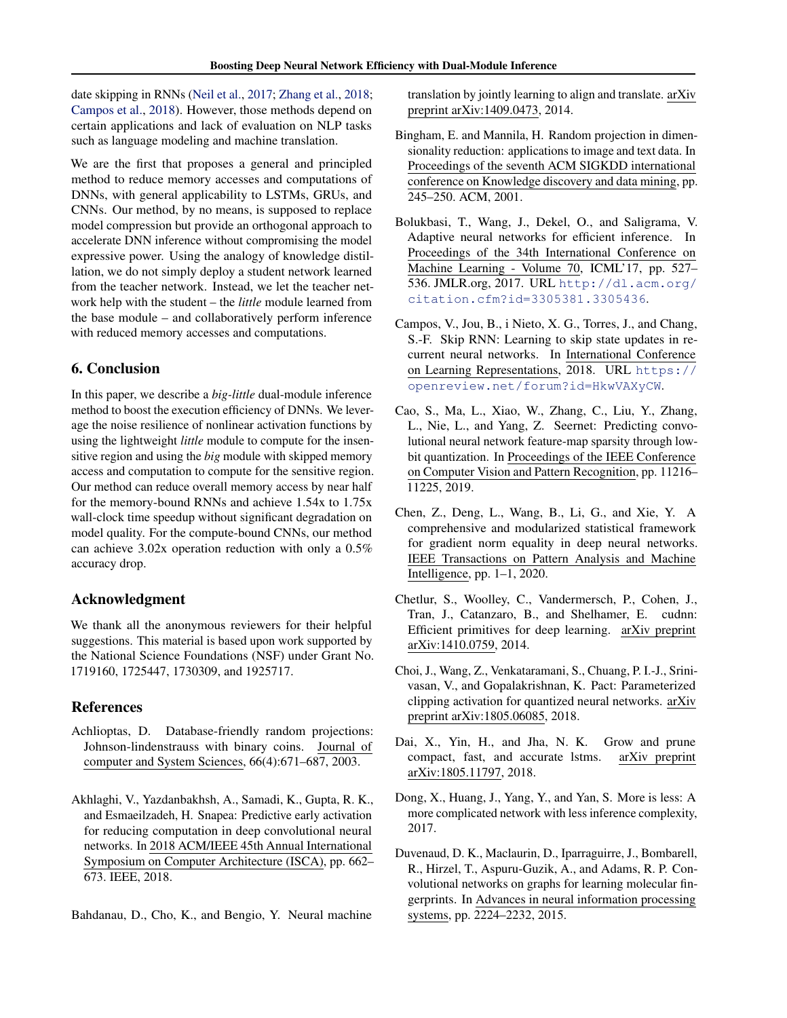<span id="page-8-0"></span>date skipping in RNNs [\(Neil et al.,](#page-9-0) [2017;](#page-9-0) [Zhang et al.,](#page-10-0) [2018;](#page-10-0) Campos et al., 2018). However, those methods depend on certain applications and lack of evaluation on NLP tasks such as language modeling and machine translation.

We are the first that proposes a general and principled method to reduce memory accesses and computations of DNNs, with general applicability to LSTMs, GRUs, and CNNs. Our method, by no means, is supposed to replace model compression but provide an orthogonal approach to accelerate DNN inference without compromising the model expressive power. Using the analogy of knowledge distillation, we do not simply deploy a student network learned from the teacher network. Instead, we let the teacher network help with the student – the *little* module learned from the base module – and collaboratively perform inference with reduced memory accesses and computations.

# 6. Conclusion

In this paper, we describe a *big-little* dual-module inference method to boost the execution efficiency of DNNs. We leverage the noise resilience of nonlinear activation functions by using the lightweight *little* module to compute for the insensitive region and using the *big* module with skipped memory access and computation to compute for the sensitive region. Our method can reduce overall memory access by near half for the memory-bound RNNs and achieve 1.54x to 1.75x wall-clock time speedup without significant degradation on model quality. For the compute-bound CNNs, our method can achieve 3.02x operation reduction with only a 0.5% accuracy drop.

# Acknowledgment

We thank all the anonymous reviewers for their helpful suggestions. This material is based upon work supported by the National Science Foundations (NSF) under Grant No. 1719160, 1725447, 1730309, and 1925717.

# References

- Achlioptas, D. Database-friendly random projections: Johnson-lindenstrauss with binary coins. Journal of computer and System Sciences, 66(4):671–687, 2003.
- Akhlaghi, V., Yazdanbakhsh, A., Samadi, K., Gupta, R. K., and Esmaeilzadeh, H. Snapea: Predictive early activation for reducing computation in deep convolutional neural networks. In 2018 ACM/IEEE 45th Annual International Symposium on Computer Architecture (ISCA), pp. 662– 673. IEEE, 2018.
- Bahdanau, D., Cho, K., and Bengio, Y. Neural machine

translation by jointly learning to align and translate. arXiv preprint arXiv:1409.0473, 2014.

- Bingham, E. and Mannila, H. Random projection in dimensionality reduction: applications to image and text data. In Proceedings of the seventh ACM SIGKDD international conference on Knowledge discovery and data mining, pp. 245–250. ACM, 2001.
- Bolukbasi, T., Wang, J., Dekel, O., and Saligrama, V. Adaptive neural networks for efficient inference. In Proceedings of the 34th International Conference on Machine Learning - Volume 70, ICML'17, pp. 527– 536. JMLR.org, 2017. URL [http://dl.acm.org/](http://dl.acm.org/citation.cfm?id=3305381.3305436) [citation.cfm?id=3305381.3305436](http://dl.acm.org/citation.cfm?id=3305381.3305436).
- Campos, V., Jou, B., i Nieto, X. G., Torres, J., and Chang, S.-F. Skip RNN: Learning to skip state updates in recurrent neural networks. In International Conference on Learning Representations, 2018. URL [https://](https://openreview.net/forum?id=HkwVAXyCW) [openreview.net/forum?id=HkwVAXyCW](https://openreview.net/forum?id=HkwVAXyCW).
- Cao, S., Ma, L., Xiao, W., Zhang, C., Liu, Y., Zhang, L., Nie, L., and Yang, Z. Seernet: Predicting convolutional neural network feature-map sparsity through lowbit quantization. In Proceedings of the IEEE Conference on Computer Vision and Pattern Recognition, pp. 11216– 11225, 2019.
- Chen, Z., Deng, L., Wang, B., Li, G., and Xie, Y. A comprehensive and modularized statistical framework for gradient norm equality in deep neural networks. IEEE Transactions on Pattern Analysis and Machine Intelligence, pp. 1–1, 2020.
- Chetlur, S., Woolley, C., Vandermersch, P., Cohen, J., Tran, J., Catanzaro, B., and Shelhamer, E. cudnn: Efficient primitives for deep learning. arXiv preprint arXiv:1410.0759, 2014.
- Choi, J., Wang, Z., Venkataramani, S., Chuang, P. I.-J., Srinivasan, V., and Gopalakrishnan, K. Pact: Parameterized clipping activation for quantized neural networks. arXiv preprint arXiv:1805.06085, 2018.
- Dai, X., Yin, H., and Jha, N. K. Grow and prune compact, fast, and accurate lstms. arXiv preprint arXiv:1805.11797, 2018.
- Dong, X., Huang, J., Yang, Y., and Yan, S. More is less: A more complicated network with less inference complexity, 2017.
- Duvenaud, D. K., Maclaurin, D., Iparraguirre, J., Bombarell, R., Hirzel, T., Aspuru-Guzik, A., and Adams, R. P. Convolutional networks on graphs for learning molecular fingerprints. In Advances in neural information processing systems, pp. 2224–2232, 2015.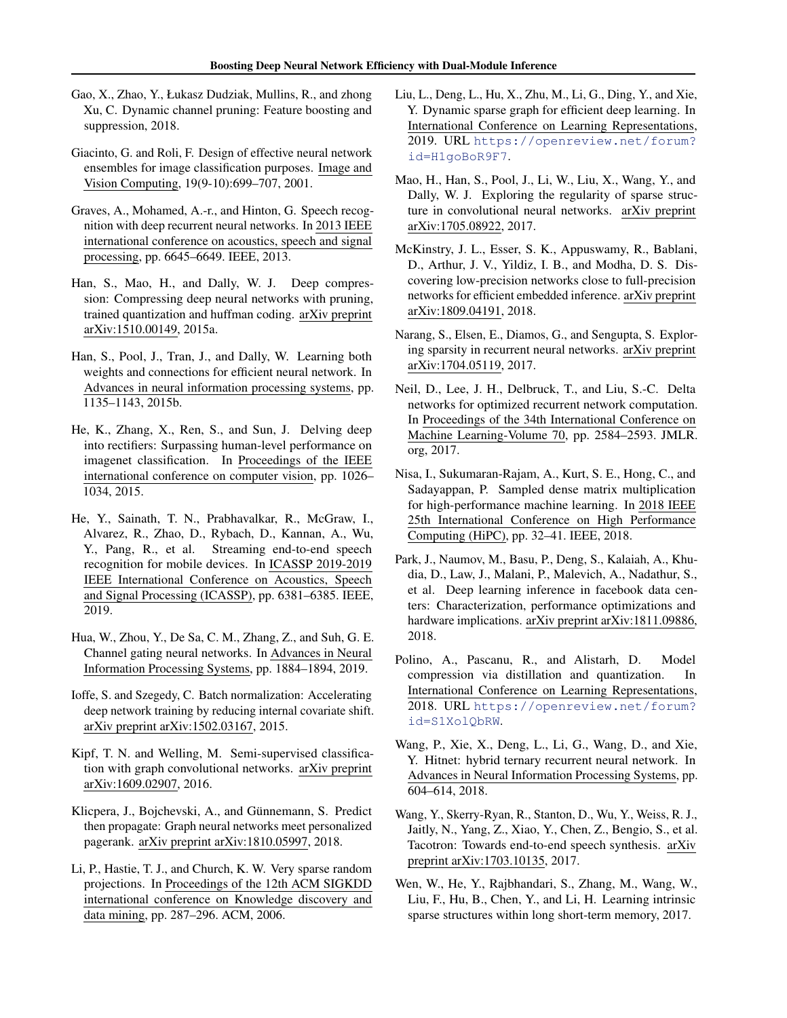- <span id="page-9-0"></span>Gao, X., Zhao, Y., Łukasz Dudziak, Mullins, R., and zhong Xu, C. Dynamic channel pruning: Feature boosting and suppression, 2018.
- Giacinto, G. and Roli, F. Design of effective neural network ensembles for image classification purposes. Image and Vision Computing, 19(9-10):699–707, 2001.
- Graves, A., Mohamed, A.-r., and Hinton, G. Speech recognition with deep recurrent neural networks. In 2013 IEEE international conference on acoustics, speech and signal processing, pp. 6645–6649. IEEE, 2013.
- Han, S., Mao, H., and Dally, W. J. Deep compression: Compressing deep neural networks with pruning, trained quantization and huffman coding. arXiv preprint arXiv:1510.00149, 2015a.
- Han, S., Pool, J., Tran, J., and Dally, W. Learning both weights and connections for efficient neural network. In Advances in neural information processing systems, pp. 1135–1143, 2015b.
- He, K., Zhang, X., Ren, S., and Sun, J. Delving deep into rectifiers: Surpassing human-level performance on imagenet classification. In Proceedings of the IEEE international conference on computer vision, pp. 1026– 1034, 2015.
- He, Y., Sainath, T. N., Prabhavalkar, R., McGraw, I., Alvarez, R., Zhao, D., Rybach, D., Kannan, A., Wu, Y., Pang, R., et al. Streaming end-to-end speech recognition for mobile devices. In ICASSP 2019-2019 IEEE International Conference on Acoustics, Speech and Signal Processing (ICASSP), pp. 6381–6385. IEEE, 2019.
- Hua, W., Zhou, Y., De Sa, C. M., Zhang, Z., and Suh, G. E. Channel gating neural networks. In Advances in Neural Information Processing Systems, pp. 1884–1894, 2019.
- Ioffe, S. and Szegedy, C. Batch normalization: Accelerating deep network training by reducing internal covariate shift. arXiv preprint arXiv:1502.03167, 2015.
- Kipf, T. N. and Welling, M. Semi-supervised classification with graph convolutional networks. arXiv preprint arXiv:1609.02907, 2016.
- Klicpera, J., Bojchevski, A., and Günnemann, S. Predict then propagate: Graph neural networks meet personalized pagerank. arXiv preprint arXiv:1810.05997, 2018.
- Li, P., Hastie, T. J., and Church, K. W. Very sparse random projections. In Proceedings of the 12th ACM SIGKDD international conference on Knowledge discovery and data mining, pp. 287–296. ACM, 2006.
- Liu, L., Deng, L., Hu, X., Zhu, M., Li, G., Ding, Y., and Xie, Y. Dynamic sparse graph for efficient deep learning. In International Conference on Learning Representations, 2019. URL [https://openreview.net/forum?](https://openreview.net/forum?id=H1goBoR9F7) [id=H1goBoR9F7](https://openreview.net/forum?id=H1goBoR9F7).
- Mao, H., Han, S., Pool, J., Li, W., Liu, X., Wang, Y., and Dally, W. J. Exploring the regularity of sparse structure in convolutional neural networks. arXiv preprint arXiv:1705.08922, 2017.
- McKinstry, J. L., Esser, S. K., Appuswamy, R., Bablani, D., Arthur, J. V., Yildiz, I. B., and Modha, D. S. Discovering low-precision networks close to full-precision networks for efficient embedded inference. arXiv preprint arXiv:1809.04191, 2018.
- Narang, S., Elsen, E., Diamos, G., and Sengupta, S. Exploring sparsity in recurrent neural networks. arXiv preprint arXiv:1704.05119, 2017.
- Neil, D., Lee, J. H., Delbruck, T., and Liu, S.-C. Delta networks for optimized recurrent network computation. In Proceedings of the 34th International Conference on Machine Learning-Volume 70, pp. 2584–2593. JMLR. org, 2017.
- Nisa, I., Sukumaran-Rajam, A., Kurt, S. E., Hong, C., and Sadayappan, P. Sampled dense matrix multiplication for high-performance machine learning. In 2018 IEEE 25th International Conference on High Performance Computing (HiPC), pp. 32–41. IEEE, 2018.
- Park, J., Naumov, M., Basu, P., Deng, S., Kalaiah, A., Khudia, D., Law, J., Malani, P., Malevich, A., Nadathur, S., et al. Deep learning inference in facebook data centers: Characterization, performance optimizations and hardware implications. arXiv preprint arXiv:1811.09886, 2018.
- Polino, A., Pascanu, R., and Alistarh, D. Model compression via distillation and quantization. In International Conference on Learning Representations, 2018. URL [https://openreview.net/forum?](https://openreview.net/forum?id=S1XolQbRW) [id=S1XolQbRW](https://openreview.net/forum?id=S1XolQbRW).
- Wang, P., Xie, X., Deng, L., Li, G., Wang, D., and Xie, Y. Hitnet: hybrid ternary recurrent neural network. In Advances in Neural Information Processing Systems, pp. 604–614, 2018.
- Wang, Y., Skerry-Ryan, R., Stanton, D., Wu, Y., Weiss, R. J., Jaitly, N., Yang, Z., Xiao, Y., Chen, Z., Bengio, S., et al. Tacotron: Towards end-to-end speech synthesis. arXiv preprint arXiv:1703.10135, 2017.
- Wen, W., He, Y., Rajbhandari, S., Zhang, M., Wang, W., Liu, F., Hu, B., Chen, Y., and Li, H. Learning intrinsic sparse structures within long short-term memory, 2017.